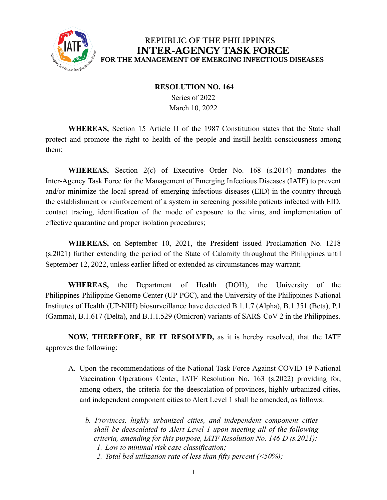

### REPUBLIC OF THE PHILIPPINES **INTER-AGENCY TASK FORCE** FOR THE MANAGEMENT OF EMERGING INFECTIOUS DISEASES

#### **RESOLUTION NO. 164**

Series of 2022 March 10, 2022

**WHEREAS,** Section 15 Article II of the 1987 Constitution states that the State shall protect and promote the right to health of the people and instill health consciousness among them;

**WHEREAS,** Section 2(c) of Executive Order No. 168 (s.2014) mandates the Inter-Agency Task Force for the Management of Emerging Infectious Diseases (IATF) to prevent and/or minimize the local spread of emerging infectious diseases (EID) in the country through the establishment or reinforcement of a system in screening possible patients infected with EID, contact tracing, identification of the mode of exposure to the virus, and implementation of effective quarantine and proper isolation procedures;

**WHEREAS,** on September 10, 2021, the President issued Proclamation No. 1218 (s.2021) further extending the period of the State of Calamity throughout the Philippines until September 12, 2022, unless earlier lifted or extended as circumstances may warrant;

**WHEREAS,** the Department of Health (DOH), the University of the Philippines-Philippine Genome Center (UP-PGC), and the University of the Philippines-National Institutes of Health (UP-NIH) biosurveillance have detected B.1.1.7 (Alpha), B.1.351 (Beta), P.1 (Gamma), B.1.617 (Delta), and B.1.1.529 (Omicron) variants of SARS-CoV-2 in the Philippines.

**NOW, THEREFORE, BE IT RESOLVED,** as it is hereby resolved, that the IATF approves the following:

- A. Upon the recommendations of the National Task Force Against COVID-19 National Vaccination Operations Center, IATF Resolution No. 163 (s.2022) providing for, among others, the criteria for the deescalation of provinces, highly urbanized cities, and independent component cities to Alert Level 1 shall be amended, as follows:
	- *b. Provinces, highly urbanized cities, and independent component cities shall be deescalated to Alert Level 1 upon meeting all of the following criteria, amending for this purpose, IATF Resolution No. 146-D (s.2021): 1. Low to minimal risk case classification;*
		- *2. Total bed utilization rate of less than fifty percent (<50%);*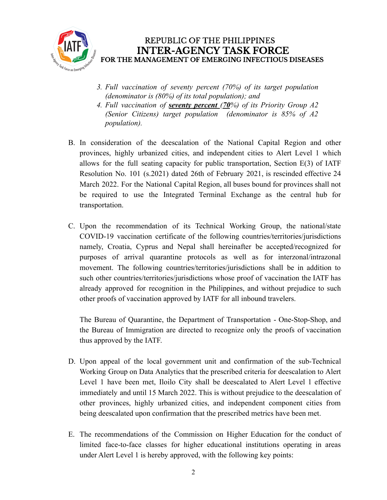

- *3. Full vaccination of seventy percent (70%) of its target population (denominator is (80%) of its total population); and*
- *4. Full vaccination of seventy percent (70%) of its Priority Group A2 (Senior Citizens) target population (denominator is 85% of A2 population).*
- B. In consideration of the deescalation of the National Capital Region and other provinces, highly urbanized cities, and independent cities to Alert Level 1 which allows for the full seating capacity for public transportation, Section E(3) of IATF Resolution No. 101 (s.2021) dated 26th of February 2021, is rescinded effective 24 March 2022. For the National Capital Region, all buses bound for provinces shall not be required to use the Integrated Terminal Exchange as the central hub for transportation.
- C. Upon the recommendation of its Technical Working Group, the national/state COVID-19 vaccination certificate of the following countries/territories/jurisdictions namely, Croatia, Cyprus and Nepal shall hereinafter be accepted/recognized for purposes of arrival quarantine protocols as well as for interzonal/intrazonal movement. The following countries/territories/jurisdictions shall be in addition to such other countries/territories/jurisdictions whose proof of vaccination the IATF has already approved for recognition in the Philippines, and without prejudice to such other proofs of vaccination approved by IATF for all inbound travelers.

The Bureau of Quarantine, the Department of Transportation - One-Stop-Shop, and the Bureau of Immigration are directed to recognize only the proofs of vaccination thus approved by the IATF.

- D. Upon appeal of the local government unit and confirmation of the sub-Technical Working Group on Data Analytics that the prescribed criteria for deescalation to Alert Level 1 have been met, Iloilo City shall be deescalated to Alert Level 1 effective immediately and until 15 March 2022. This is without prejudice to the deescalation of other provinces, highly urbanized cities, and independent component cities from being deescalated upon confirmation that the prescribed metrics have been met.
- E. The recommendations of the Commission on Higher Education for the conduct of limited face-to-face classes for higher educational institutions operating in areas under Alert Level 1 is hereby approved, with the following key points: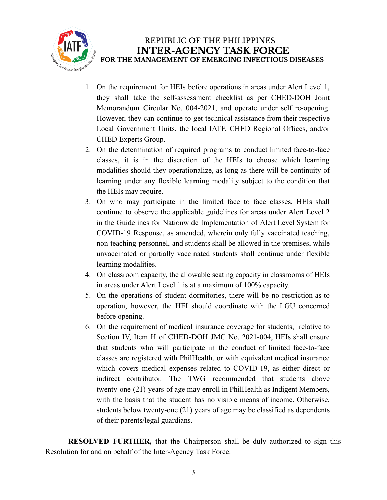

- 1. On the requirement for HEIs before operations in areas under Alert Level 1, they shall take the self-assessment checklist as per CHED-DOH Joint Memorandum Circular No. 004-2021, and operate under self re-opening. However, they can continue to get technical assistance from their respective Local Government Units, the local IATF, CHED Regional Offices, and/or CHED Experts Group.
- 2. On the determination of required programs to conduct limited face-to-face classes, it is in the discretion of the HEIs to choose which learning modalities should they operationalize, as long as there will be continuity of learning under any flexible learning modality subject to the condition that the HEIs may require.
- 3. On who may participate in the limited face to face classes, HEIs shall continue to observe the applicable guidelines for areas under Alert Level 2 in the Guidelines for Nationwide Implementation of Alert Level System for COVID-19 Response, as amended, wherein only fully vaccinated teaching, non-teaching personnel, and students shall be allowed in the premises, while unvaccinated or partially vaccinated students shall continue under flexible learning modalities.
- 4. On classroom capacity, the allowable seating capacity in classrooms of HEIs in areas under Alert Level 1 is at a maximum of 100% capacity.
- 5. On the operations of student dormitories, there will be no restriction as to operation, however, the HEI should coordinate with the LGU concerned before opening.
- 6. On the requirement of medical insurance coverage for students, relative to Section IV, Item H of CHED-DOH JMC No. 2021-004, HEIs shall ensure that students who will participate in the conduct of limited face-to-face classes are registered with PhilHealth, or with equivalent medical insurance which covers medical expenses related to COVID-19, as either direct or indirect contributor. The TWG recommended that students above twenty-one (21) years of age may enroll in PhilHealth as Indigent Members, with the basis that the student has no visible means of income. Otherwise, students below twenty-one (21) years of age may be classified as dependents of their parents/legal guardians.

**RESOLVED FURTHER,** that the Chairperson shall be duly authorized to sign this Resolution for and on behalf of the Inter-Agency Task Force.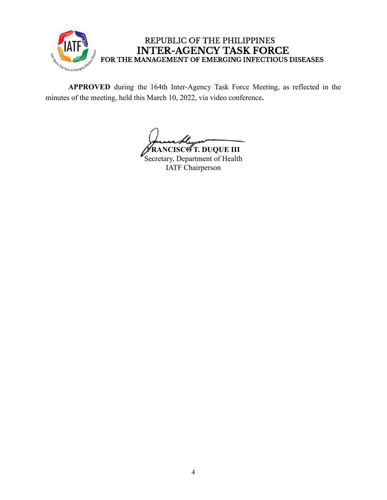

# REPUBLIC OF THE PHILIPPINES INTER-AGENCY TASK FORCE<br>FOR THE MANAGEMENT OF EMERGING INFECTIOUS DISEASES

**APPROVED** during the 164th Inter-Agency Task Force Meeting, as reflected in the minutes of the meeting, held this March 10, 2022, via video conference**.**

**FRANCISCO T. DUQUE III** Secretary, Department of Health IATF Chairperson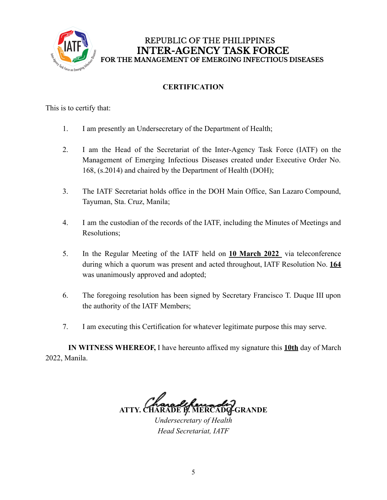

REPUBLIC OF THE PHILIPPINES **INTER-AGENCY TASK FORCE** FOR THE MANAGEMENT OF EMERGING INFECTIOUS DISEASES

## **CERTIFICATION**

This is to certify that:

- 1. I am presently an Undersecretary of the Department of Health;
- 2. I am the Head of the Secretariat of the Inter-Agency Task Force (IATF) on the Management of Emerging Infectious Diseases created under Executive Order No. 168, (s.2014) and chaired by the Department of Health (DOH);
- 3. The IATF Secretariat holds office in the DOH Main Office, San Lazaro Compound, Tayuman, Sta. Cruz, Manila;
- 4. I am the custodian of the records of the IATF, including the Minutes of Meetings and Resolutions;
- 5. In the Regular Meeting of the IATF held on **10 March 2022** via teleconference during which a quorum was present and acted throughout, IATF Resolution No. **164** was unanimously approved and adopted;
- 6. The foregoing resolution has been signed by Secretary Francisco T. Duque III upon the authority of the IATF Members;
- 7. I am executing this Certification for whatever legitimate purpose this may serve.

**IN WITNESS WHEREOF,** I have hereunto affixed my signature this **10th** day of March 2022, Manila.

**ATTY. CHARADE B. MERCADO-GRANDE**

*Undersecretary of Health Head Secretariat, IATF*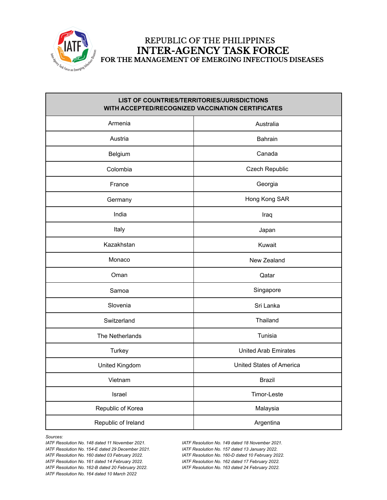

### REPUBLIC OF THE PHILIPPINES **INTER-AGENCY TASK FORCE** FOR THE MANAGEMENT OF EMERGING INFECTIOUS DISEASES

| LIST OF COUNTRIES/TERRITORIES/JURISDICTIONS<br>WITH ACCEPTED/RECOGNIZED VACCINATION CERTIFICATES |                             |
|--------------------------------------------------------------------------------------------------|-----------------------------|
| Armenia                                                                                          | Australia                   |
| Austria                                                                                          | Bahrain                     |
| Belgium                                                                                          | Canada                      |
| Colombia                                                                                         | Czech Republic              |
| France                                                                                           | Georgia                     |
| Germany                                                                                          | Hong Kong SAR               |
| India                                                                                            | Iraq                        |
| Italy                                                                                            | Japan                       |
| Kazakhstan                                                                                       | Kuwait                      |
| Monaco                                                                                           | New Zealand                 |
| Oman                                                                                             | Qatar                       |
| Samoa                                                                                            | Singapore                   |
| Slovenia                                                                                         | Sri Lanka                   |
| Switzerland                                                                                      | Thailand                    |
| The Netherlands                                                                                  | Tunisia                     |
| Turkey                                                                                           | <b>United Arab Emirates</b> |
| United Kingdom                                                                                   | United States of America    |
| Vietnam                                                                                          | Brazil                      |
| Israel                                                                                           | Timor-Leste                 |
| Republic of Korea                                                                                | Malaysia                    |
| Republic of Ireland                                                                              | Argentina                   |

*Sources:*

*IATF Resolution No. 148 dated 11 November 2021. IATF Resolution No. 149 dated 18 November 2021. IATF Resolution No. 154-E dated 29 December 2021. IATF Resolution No. 157 dated 13 January 2022. IATF Resolution No. 160 dated 03 February 2022. IATF Resolution No. 160-D dated 10 February 2022. IATF Resolution No. 161 dated 14 February 2022. IATF Resolution No. 162 dated 17 February 2022. IATF Resolution No. 162-B dated 20 February 2022. IATF Resolution No. 163 dated 24 February 2022. IATF Resolution No. 164 dated 10 March 2022*